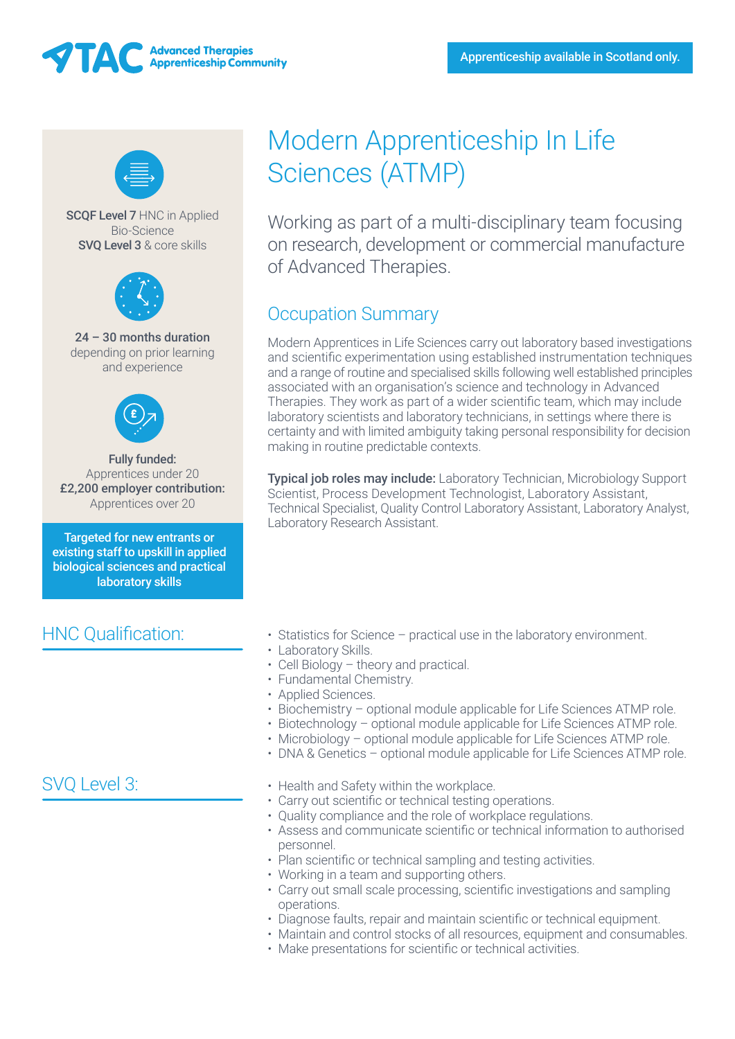



SCQF Level 7 HNC in Applied Bio-Science SVQ Level 3 & core skills



24 – 30 months duration depending on prior learning and experience



Fully funded: Apprentices under 20 £2,200 employer contribution: Apprentices over 20

Targeted for new entrants or existing staff to upskill in applied biological sciences and practical laboratory skills

## HNC Qualification:

## SVQ Level 3:

# Modern Apprenticeship In Life Sciences (ATMP)

Working as part of a multi-disciplinary team focusing on research, development or commercial manufacture of Advanced Therapies.

# Occupation Summary

Modern Apprentices in Life Sciences carry out laboratory based investigations and scientific experimentation using established instrumentation techniques and a range of routine and specialised skills following well established principles associated with an organisation's science and technology in Advanced Therapies. They work as part of a wider scientific team, which may include laboratory scientists and laboratory technicians, in settings where there is certainty and with limited ambiguity taking personal responsibility for decision making in routine predictable contexts.

Typical job roles may include: Laboratory Technician, Microbiology Support Scientist, Process Development Technologist, Laboratory Assistant, Technical Specialist, Quality Control Laboratory Assistant, Laboratory Analyst, Laboratory Research Assistant.

- Statistics for Science practical use in the laboratory environment.
- Laboratory Skills.
- Cell Biology theory and practical.
- Fundamental Chemistry.
- Applied Sciences.
- Biochemistry optional module applicable for Life Sciences ATMP role.
- Biotechnology optional module applicable for Life Sciences ATMP role.
- Microbiology optional module applicable for Life Sciences ATMP role.
- DNA & Genetics optional module applicable for Life Sciences ATMP role.
- Health and Safety within the workplace.
- Carry out scientific or technical testing operations.
- Quality compliance and the role of workplace regulations.
- Assess and communicate scientific or technical information to authorised personnel.
- Plan scientific or technical sampling and testing activities.
- Working in a team and supporting others.
- Carry out small scale processing, scientific investigations and sampling operations.
- Diagnose faults, repair and maintain scientific or technical equipment.
- Maintain and control stocks of all resources, equipment and consumables.
- Make presentations for scientific or technical activities.